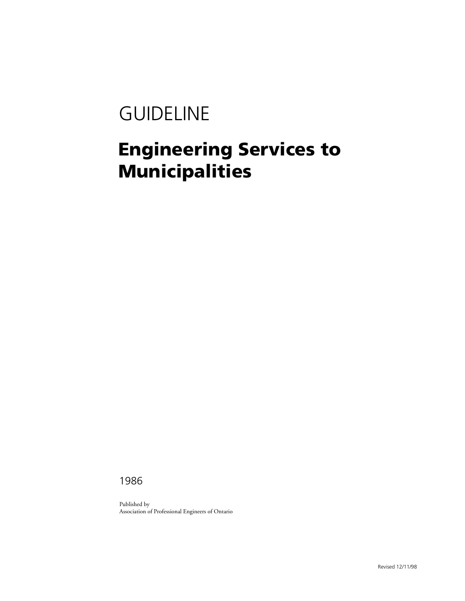# GUIDELINE

## **Engineering Services to Municipalities**

1986

Published by Association of Professional Engineers of Ontario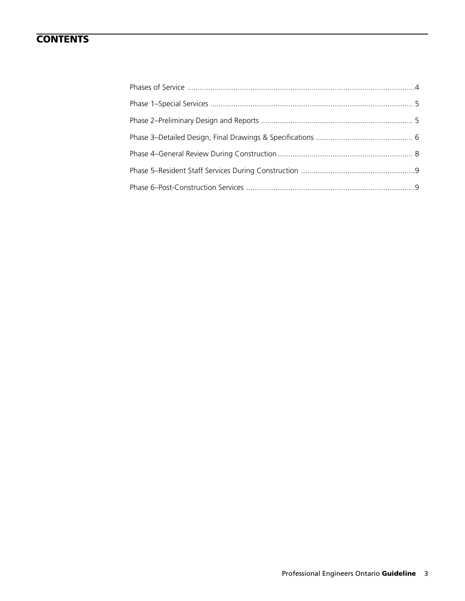## **CONTENTS**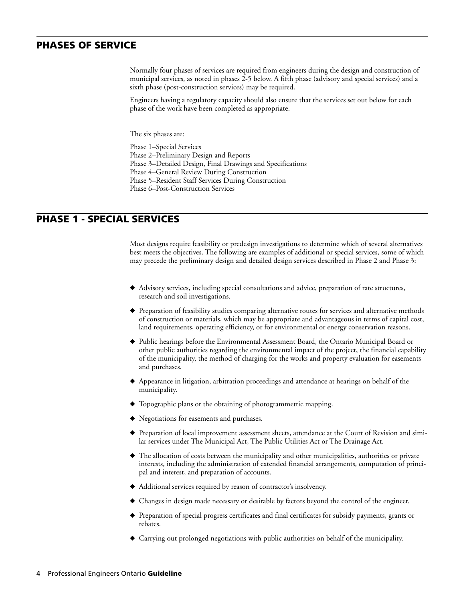## **PHASES OF SERVICE**

<span id="page-2-1"></span>Normally four phases of services are required from engineers during the design and construction of municipal services, as noted in phases 2-5 below. A fifth phase (advisory and special services) and a sixth phase (post-construction services) may be required.

Engineers having a regulatory capacity should also ensure that the services set out below for each phase of the work have been completed as appropriate.

The six phases are:

Phase 1–Special Services

Phase 2–Preliminary Design and Reports

Phase 3–Detailed Design, Final Drawings and Specifications

Phase 4–General Review During Construction

Phase 5–Resident Staff Services During Construction

<span id="page-2-0"></span>Phase 6–Post-Construction Services

## **PHASE 1 - SPECIAL SERVICES**

Most designs require feasibility or predesign investigations to determine which of several alternatives best meets the objectives. The following are examples of additional or special services, some of which may precede the preliminary design and detailed design services described in Phase 2 and Phase 3:

- **◆** Advisory services, including special consultations and advice, preparation of rate structures, research and soil investigations.
- ◆ Preparation of feasibility studies comparing alternative routes for services and alternative methods of construction or materials, which may be appropriate and advantageous in terms of capital cost, land requirements, operating efficiency, or for environmental or energy conservation reasons.
- Public hearings before the Environmental Assessment Board, the Ontario Municipal Board or other public authorities regarding the environmental impact of the project, the financial capability of the municipality, the method of charging for the works and property evaluation for easements and purchases.
- ◆ Appearance in litigation, arbitration proceedings and attendance at hearings on behalf of the municipality.
- **◆** Topographic plans or the obtaining of photogrammetric mapping.
- **◆** Negotiations for easements and purchases.
- ◆ Preparation of local improvement assessment sheets, attendance at the Court of Revision and similar services under The Municipal Act, The Public Utilities Act or The Drainage Act.
- ◆ The allocation of costs between the municipality and other municipalities, authorities or private interests, including the administration of extended financial arrangements, computation of principal and interest, and preparation of accounts.
- ◆ Additional services required by reason of contractor's insolvency.
- ◆ Changes in design made necessary or desirable by factors beyond the control of the engineer.
- ◆ Preparation of special progress certificates and final certificates for subsidy payments, grants or rebates.
- ◆ Carrying out prolonged negotiations with public authorities on behalf of the municipality.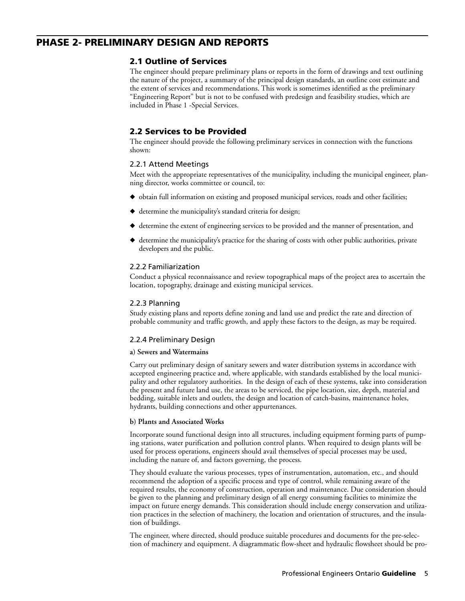## **PHASE 2- PRELIMINARY DESIGN AND REPORTS**

### <span id="page-3-0"></span>**2.1 Outline of Services**

The engineer should prepare preliminary plans or reports in the form of drawings and text outlining the nature of the project, a summary of the principal design standards, an outline cost estimate and the extent of services and recommendations. This work is sometimes identified as the preliminary "Engineering Report" but is not to be confused with predesign and feasibility studies, which are included in Phase 1 -Special Services.

### **2.2 Services to be Provided**

The engineer should provide the following preliminary services in connection with the functions shown:

#### 2.2.1 Attend Meetings

Meet with the appropriate representatives of the municipality, including the municipal engineer, planning director, works committee or council, to:

- ◆ obtain full information on existing and proposed municipal services, roads and other facilities;
- **◆** determine the municipality's standard criteria for design;
- ◆ determine the extent of engineering services to be provided and the manner of presentation, and
- ◆ determine the municipality's practice for the sharing of costs with other public authorities, private developers and the public.

#### 2.2.2 Familiarization

Conduct a physical reconnaissance and review topographical maps of the project area to ascertain the location, topography, drainage and existing municipal services.

#### 2.2.3 Planning

Study existing plans and reports define zoning and land use and predict the rate and direction of probable community and traffic growth, and apply these factors to the design, as may be required.

#### 2.2.4 Preliminary Design

#### **a) Sewers and Watermains**

Carry out preliminary design of sanitary sewers and water distribution systems in accordance with accepted engineering practice and, where applicable, with standards established by the local municipality and other regulatory authorities. In the design of each of these systems, take into consideration the present and future land use, the areas to be serviced, the pipe location, size, depth, material and bedding, suitable inlets and outlets, the design and location of catch-basins, maintenance holes, hydrants, building connections and other appurtenances.

#### **b) Plants and Associated Works**

Incorporate sound functional design into all structures, including equipment forming parts of pumping stations, water purification and pollution control plants. When required to design plants will be used for process operations, engineers should avail themselves of special processes may be used, including the nature of, and factors governing, the process.

They should evaluate the various processes, types of instrumentation, automation, etc., and should recommend the adoption of a specific process and type of control, while remaining aware of the required results, the economy of construction, operation and maintenance. Due consideration should be given to the planning and preliminary design of all energy consuming facilities to minimize the impact on future energy demands. This consideration should include energy conservation and utilization practices in the selection of machinery, the location and orientation of structures, and the insulation of buildings.

The engineer, where directed, should produce suitable procedures and documents for the pre-selection of machinery and equipment. A diagrammatic flow-sheet and hydraulic flowsheet should be pro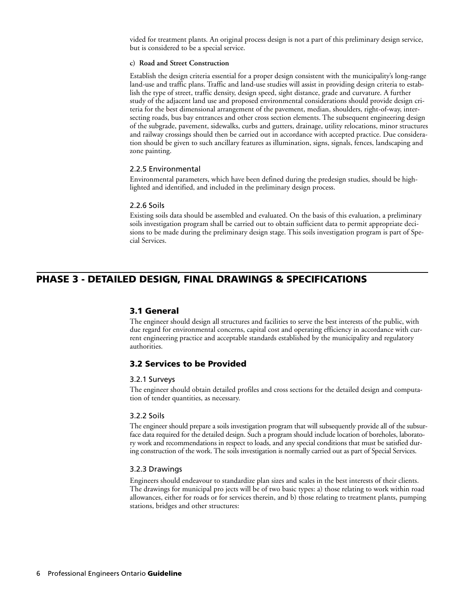vided for treatment plants. An original process design is not a part of this preliminary design service, but is considered to be a special service.

#### **c) Road and Street Construction**

Establish the design criteria essential for a proper design consistent with the municipality's long-range land-use and traffic plans. Traffic and land-use studies will assist in providing design criteria to establish the type of street, traffic density, design speed, sight distance, grade and curvature. A further study of the adjacent land use and proposed environmental considerations should provide design criteria for the best dimensional arrangement of the pavement, median, shoulders, right-of-way, intersecting roads, bus bay entrances and other cross section elements. The subsequent engineering design of the subgrade, pavement, sidewalks, curbs and gutters, drainage, utility relocations, minor structures and railway crossings should then be carried out in accordance with accepted practice. Due consideration should be given to such ancillary features as illumination, signs, signals, fences, landscaping and zone painting.

#### 2.2.5 Environmental

Environmental parameters, which have been defined during the predesign studies, should be highlighted and identified, and included in the preliminary design process.

#### 2.2.6 Soils

Existing soils data should be assembled and evaluated. On the basis of this evaluation, a preliminary soils investigation program shall be carried out to obtain sufficient data to permit appropriate decisions to be made during the preliminary design stage. This soils investigation program is part of Special Services.

## **PHASE 3 - DETAILED DESIGN, FINAL DRAWINGS & SPECIFICATIONS**

#### <span id="page-4-0"></span>**3.1 General**

The engineer should design all structures and facilities to serve the best interests of the public, with due regard for environmental concerns, capital cost and operating efficiency in accordance with current engineering practice and acceptable standards established by the municipality and regulatory authorities.

#### **3.2 Services to be Provided**

#### 3.2.1 Surveys

The engineer should obtain detailed profiles and cross sections for the detailed design and computation of tender quantities, as necessary.

#### 3.2.2 Soils

The engineer should prepare a soils investigation program that will subsequently provide all of the subsurface data required for the detailed design. Such a program should include location of boreholes, laboratory work and recommendations in respect to loads, and any special conditions that must be satisfied during construction of the work. The soils investigation is normally carried out as part of Special Services.

#### 3.2.3 Drawings

Engineers should endeavour to standardize plan sizes and scales in the best interests of their clients. The drawings for municipal pro jects will be of two basic types: a) those relating to work within road allowances, either for roads or for services therein, and b) those relating to treatment plants, pumping stations, bridges and other structures: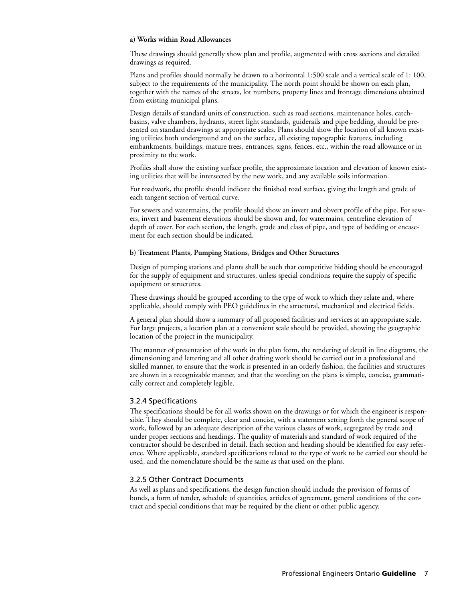#### **a) Works within Road Allowances**

These drawings should generally show plan and profile, augmented with cross sections and detailed drawings as required.

Plans and profiles should normally be drawn to a horizontal 1:500 scale and a vertical scale of 1: 100, subject to the requirements of the municipality. The north point should be shown on each plan, together with the names of the streets, lot numbers, property lines and frontage dimensions obtained from existing municipal plans.

Design details of standard units of construction, such as road sections, maintenance holes, catchbasins, valve chambers, hydrants, street light standards, guiderails and pipe bedding, should be presented on standard drawings at appropriate scales. Plans should show the location of all known existing utilities both underground and on the surface, all existing topographic features, including embankments, buildings, mature trees, entrances, signs, fences, etc., within the road allowance or in proximity to the work.

Profiles shall show the existing surface profile, the approximate location and elevation of known existing utilities that will be intersected by the new work, and any available soils information.

For roadwork, the profile should indicate the finished road surface, giving the length and grade of each tangent section of vertical curve.

For sewers and watermains, the profile should show an invert and obvert profile of the pipe. For sewers, invert and basement elevations should be shown and, for watermains, centreline elevation of depth of cover. For each section, the length, grade and class of pipe, and type of bedding or encasement for each section should be indicated.

#### **b) Treatment Plants, Pumping Stations, Bridges and Other Structures**

Design of pumping stations and plants shall be such that competitive bidding should be encouraged for the supply of equipment and structures, unless special conditions require the supply of specific equipment or structures.

These drawings should be grouped according to the type of work to which they relate and, where applicable, should comply with PEO guidelines in the structural, mechanical and electrical fields.

A general plan should show a summary of all proposed facilities and services at an appropriate scale. For large projects, a location plan at a convenient scale should be provided, showing the geographic location of the project in the municipality.

The manner of presentation of the work in the plan form, the rendering of detail in line diagrams, the dimensioning and lettering and all other drafting work should be carried out in a professional and skilled manner, to ensure that the work is presented in an orderly fashion, the facilities and structures are shown in a recognizable manner, and that the wording on the plans is simple, concise, grammatically correct and completely legible.

#### 3.2.4 Specifications

The specifications should be for all works shown on the drawings or for which the engineer is responsible. They should be complete, clear and concise, with a statement setting forth the general scope of work, followed by an adequate description of the various classes of work, segregated by trade and under proper sections and headings. The quality of materials and standard of work required of the contractor should be described in detail. Each section and heading should be identified for easy reference. Where applicable, standard specifications related to the type of work to be carried out should be used, and the nomenclature should be the same as that used on the plans.

#### 3.2.5 Other Contract Documents

As well as plans and specifications, the design function should include the provision of forms of bonds, a form of tender, schedule of quantities, articles of agreement, general conditions of the contract and special conditions that may be required by the client or other public agency.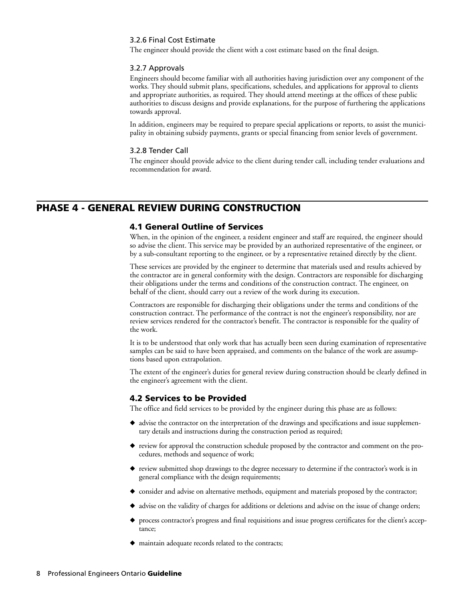#### 3.2.6 Final Cost Estimate

The engineer should provide the client with a cost estimate based on the final design.

#### 3.2.7 Approvals

Engineers should become familiar with all authorities having jurisdiction over any component of the works. They should submit plans, specifications, schedules, and applications for approval to clients and appropriate authorities, as required. They should attend meetings at the offices of these public authorities to discuss designs and provide explanations, for the purpose of furthering the applications towards approval.

In addition, engineers may be required to prepare special applications or reports, to assist the municipality in obtaining subsidy payments, grants or special financing from senior levels of government.

#### 3.2.8 Tender Call

The engineer should provide advice to the client during tender call, including tender evaluations and recommendation for award.

### **PHASE 4 - GENERAL REVIEW DURING CONSTRUCTION**

#### <span id="page-6-0"></span>**4.1 General Outline of Services**

When, in the opinion of the engineer, a resident engineer and staff are required, the engineer should so advise the client. This service may be provided by an authorized representative of the engineer, or by a sub-consultant reporting to the engineer, or by a representative retained directly by the client.

These services are provided by the engineer to determine that materials used and results achieved by the contractor are in general conformity with the design. Contractors are responsible for discharging their obligations under the terms and conditions of the construction contract. The engineer, on behalf of the client, should carry out a review of the work during its execution.

Contractors are responsible for discharging their obligations under the terms and conditions of the construction contract. The performance of the contract is not the engineer's responsibility, nor are review services rendered for the contractor's benefit. The contractor is responsible for the quality of the work.

It is to be understood that only work that has actually been seen during examination of representative samples can be said to have been appraised, and comments on the balance of the work are assumptions based upon extrapolation.

The extent of the engineer's duties for general review during construction should be clearly defined in the engineer's agreement with the client.

#### **4.2 Services to be Provided**

The office and field services to be provided by the engineer during this phase are as follows:

- ◆ advise the contractor on the interpretation of the drawings and specifications and issue supplementary details and instructions during the construction period as required;
- ◆ review for approval the construction schedule proposed by the contractor and comment on the procedures, methods and sequence of work;
- ◆ review submitted shop drawings to the degree necessary to determine if the contractor's work is in general compliance with the design requirements;
- ◆ consider and advise on alternative methods, equipment and materials proposed by the contractor;
- ◆ advise on the validity of charges for additions or deletions and advise on the issue of change orders;
- ◆ process contractor's progress and final requisitions and issue progress certificates for the client's acceptance;
- **◆** maintain adequate records related to the contracts;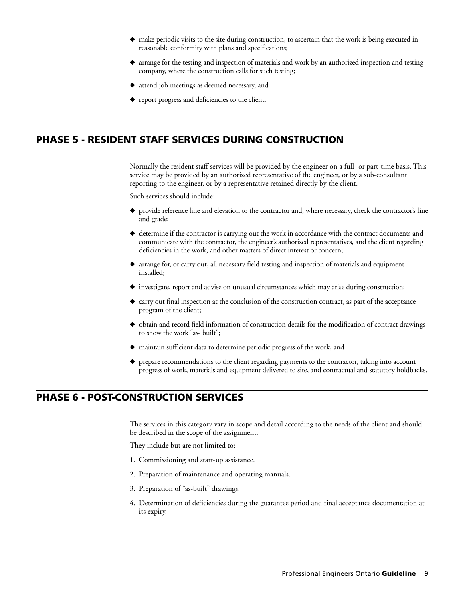- make periodic visits to the site during construction, to ascertain that the work is being executed in reasonable conformity with plans and specifications;
- ◆ arrange for the testing and inspection of materials and work by an authorized inspection and testing company, where the construction calls for such testing;
- **◆** attend job meetings as deemed necessary, and
- <span id="page-7-1"></span>◆ report progress and deficiencies to the client.

## **PHASE 5 - RESIDENT STAFF SERVICES DURING CONSTRUCTION**

Normally the resident staff services will be provided by the engineer on a full- or part-time basis. This service may be provided by an authorized representative of the engineer, or by a sub-consultant reporting to the engineer, or by a representative retained directly by the client.

Such services should include:

- ◆ provide reference line and elevation to the contractor and, where necessary, check the contractor's line and grade;
- **◆** determine if the contractor is carrying out the work in accordance with the contract documents and communicate with the contractor, the engineer's authorized representatives, and the client regarding deficiencies in the work, and other matters of direct interest or concern;
- **◆** arrange for, or carry out, all necessary field testing and inspection of materials and equipment installed;
- ◆ investigate, report and advise on unusual circumstances which may arise during construction;
- ◆ carry out final inspection at the conclusion of the construction contract, as part of the acceptance program of the client;
- ◆ obtain and record field information of construction details for the modification of contract drawings to show the work "as- built";
- **◆** maintain sufficient data to determine periodic progress of the work, and
- <span id="page-7-0"></span>prepare recommendations to the client regarding payments to the contractor, taking into account progress of work, materials and equipment delivered to site, and contractual and statutory holdbacks.

## **PHASE 6 - POST-CONSTRUCTION SERVICES**

The services in this category vary in scope and detail according to the needs of the client and should be described in the scope of the assignment.

They include but are not limited to:

- 1. Commissioning and start-up assistance.
- 2. Preparation of maintenance and operating manuals.
- 3. Preparation of "as-built" drawings.
- 4. Determination of deficiencies during the guarantee period and final acceptance documentation at its expiry.